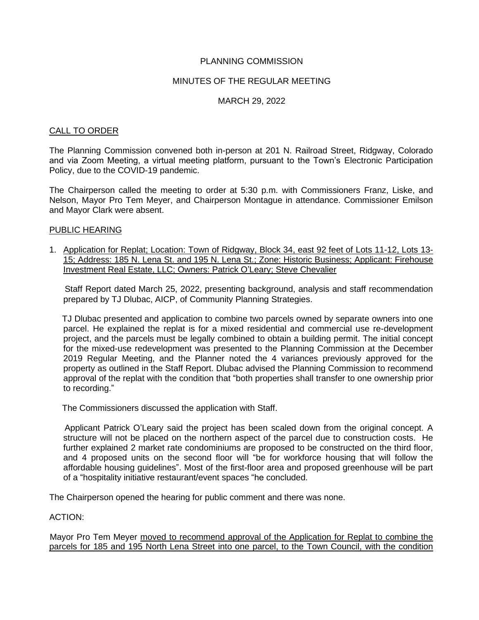# PLANNING COMMISSION

# MINUTES OF THE REGULAR MEETING

# MARCH 29, 2022

#### CALL TO ORDER

The Planning Commission convened both in-person at 201 N. Railroad Street, Ridgway, Colorado and via Zoom Meeting, a virtual meeting platform, pursuant to the Town's Electronic Participation Policy, due to the COVID-19 pandemic.

The Chairperson called the meeting to order at 5:30 p.m. with Commissioners Franz, Liske, and Nelson, Mayor Pro Tem Meyer, and Chairperson Montague in attendance. Commissioner Emilson and Mayor Clark were absent.

#### PUBLIC HEARING

1. Application for Replat; Location: Town of Ridgway, Block 34, east 92 feet of Lots 11-12, Lots 13- 15; Address: 185 N. Lena St. and 195 N. Lena St.; Zone: Historic Business; Applicant: Firehouse Investment Real Estate, LLC; Owners: Patrick O'Leary; Steve Chevalier

 Staff Report dated March 25, 2022, presenting background, analysis and staff recommendation prepared by TJ Dlubac, AICP, of Community Planning Strategies.

TJ Dlubac presented and application to combine two parcels owned by separate owners into one parcel. He explained the replat is for a mixed residential and commercial use re-development project, and the parcels must be legally combined to obtain a building permit. The initial concept for the mixed-use redevelopment was presented to the Planning Commission at the December 2019 Regular Meeting, and the Planner noted the 4 variances previously approved for the property as outlined in the Staff Report. Dlubac advised the Planning Commission to recommend approval of the replat with the condition that "both properties shall transfer to one ownership prior to recording."

The Commissioners discussed the application with Staff.

 Applicant Patrick O'Leary said the project has been scaled down from the original concept. A structure will not be placed on the northern aspect of the parcel due to construction costs. He further explained 2 market rate condominiums are proposed to be constructed on the third floor, and 4 proposed units on the second floor will "be for workforce housing that will follow the affordable housing guidelines". Most of the first-floor area and proposed greenhouse will be part of a "hospitality initiative restaurant/event spaces "he concluded.

The Chairperson opened the hearing for public comment and there was none.

ACTION:

 Mayor Pro Tem Meyer moved to recommend approval of the Application for Replat to combine the parcels for 185 and 195 North Lena Street into one parcel, to the Town Council, with the condition